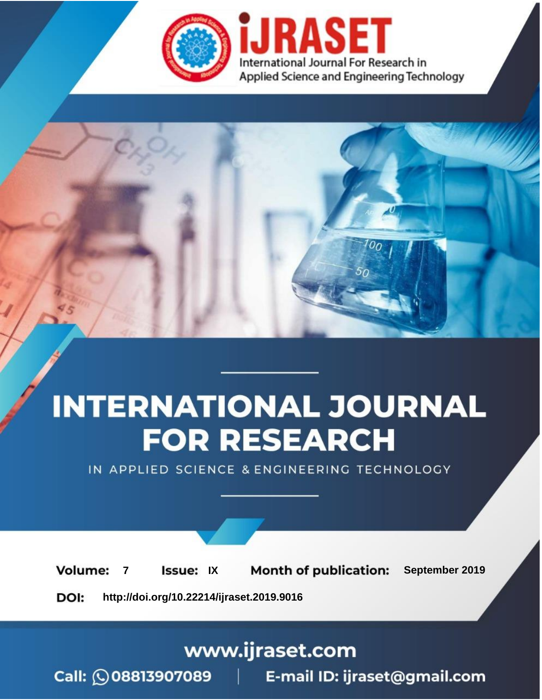

# **INTERNATIONAL JOURNAL FOR RESEARCH**

IN APPLIED SCIENCE & ENGINEERING TECHNOLOGY

**Month of publication: Volume: Issue: IX** September 2019  $\overline{7}$ DOI: http://doi.org/10.22214/ijraset.2019.9016

www.ijraset.com

 $Call: \bigcirc$ 08813907089 E-mail ID: ijraset@gmail.com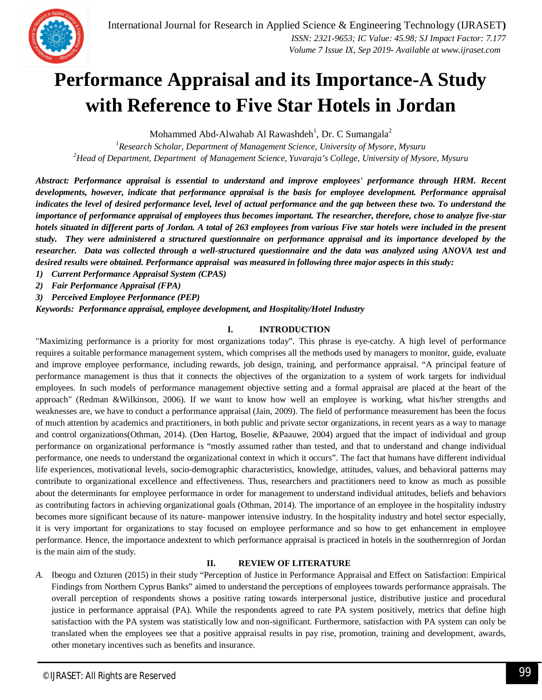

### **Performance Appraisal and its Importance-A Study with Reference to Five Star Hotels in Jordan**

Mohammed Abd-Alwahab Al Rawashdeh<sup>1</sup>, Dr. C Sumangala<sup>2</sup>

*<sup>1</sup>Research Scholar, Department of Management Science, University of Mysore, Mysuru <sup>2</sup>Head of Department, Department of Management Science, Yuvaraja's College, University of Mysore, Mysuru*

*Abstract: Performance appraisal is essential to understand and improve employees' performance through HRM. Recent developments, however, indicate that performance appraisal is the basis for employee development. Performance appraisal indicates the level of desired performance level, level of actual performance and the gap between these two. To understand the importance of performance appraisal of employees thus becomes important. The researcher, therefore, chose to analyze five-star hotels situated in different parts of Jordan. A total of 263 employees from various Five star hotels were included in the present study. They were administered a structured questionnaire on performance appraisal and its importance developed by the researcher. Data was collected through a well-structured questionnaire and the data was analyzed using ANOVA test and desired results were obtained. Performance appraisal was measured in following three major aspects in this study:*

*1) Current Performance Appraisal System (CPAS)*

*2) Fair Performance Appraisal (FPA)*

*3) Perceived Employee Performance (PEP)*

*Keywords: Performance appraisal, employee development, and Hospitality/Hotel Industry*

#### **I. INTRODUCTION**

"Maximizing performance is a priority for most organizations today". This phrase is eye-catchy. A high level of performance requires a suitable performance management system, which comprises all the methods used by managers to monitor, guide, evaluate and improve employee performance, including rewards, job design, training, and performance appraisal. "A principal feature of performance management is thus that it connects the objectives of the organization to a system of work targets for individual employees. In such models of performance management objective setting and a formal appraisal are placed at the heart of the approach" (Redman &Wilkinson, 2006). If we want to know how well an employee is working, what his/her strengths and weaknesses are, we have to conduct a performance appraisal (Jain, 2009). The field of performance measurement has been the focus of much attention by academics and practitioners, in both public and private sector organizations, in recent years as a way to manage and control organizations(Othman, 2014). (Den Hartog, Boselie, &Paauwe, 2004) argued that the impact of individual and group performance on organizational performance is "mostly assumed rather than tested, and that to understand and change individual performance, one needs to understand the organizational context in which it occurs". The fact that humans have different individual life experiences, motivational levels, socio-demographic characteristics, knowledge, attitudes, values, and behavioral patterns may contribute to organizational excellence and effectiveness. Thus, researchers and practitioners need to know as much as possible about the determinants for employee performance in order for management to understand individual attitudes, beliefs and behaviors as contributing factors in achieving organizational goals (Othman, 2014). The importance of an employee in the hospitality industry becomes more significant because of its nature- manpower intensive industry. In the hospitality industry and hotel sector especially, it is very important for organizations to stay focused on employee performance and so how to get enhancement in employee performance. Hence, the importance andextent to which performance appraisal is practiced in hotels in the southernregion of Jordan is the main aim of the study.

#### **II. REVIEW OF LITERATURE**

*A.* Ibeogu and Ozturen (2015) in their study "Perception of Justice in Performance Appraisal and Effect on Satisfaction: Empirical Findings from Northern Cyprus Banks" aimed to understand the perceptions of employees towards performance appraisals. The overall perception of respondents shows a positive rating towards interpersonal justice, distributive justice and procedural justice in performance appraisal (PA). While the respondents agreed to rate PA system positively, metrics that define high satisfaction with the PA system was statistically low and non-significant. Furthermore, satisfaction with PA system can only be translated when the employees see that a positive appraisal results in pay rise, promotion, training and development, awards, other monetary incentives such as benefits and insurance.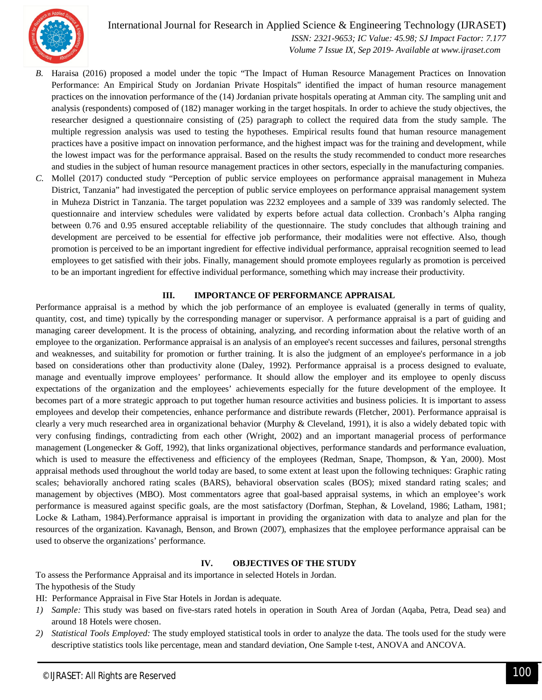

 *ISSN: 2321-9653; IC Value: 45.98; SJ Impact Factor: 7.177 Volume 7 Issue IX, Sep 2019- Available at www.ijraset.com*

- *B.* Haraisa (2016) proposed a model under the topic "The Impact of Human Resource Management Practices on Innovation Performance: An Empirical Study on Jordanian Private Hospitals" identified the impact of human resource management practices on the innovation performance of the (14) Jordanian private hospitals operating at Amman city. The sampling unit and analysis (respondents) composed of (182) manager working in the target hospitals. In order to achieve the study objectives, the researcher designed a questionnaire consisting of (25) paragraph to collect the required data from the study sample. The multiple regression analysis was used to testing the hypotheses. Empirical results found that human resource management practices have a positive impact on innovation performance, and the highest impact was for the training and development, while the lowest impact was for the performance appraisal. Based on the results the study recommended to conduct more researches and studies in the subject of human resource management practices in other sectors, especially in the manufacturing companies.
- *C.* Mollel (2017) conducted study "Perception of public service employees on performance appraisal management in Muheza District, Tanzania" had investigated the perception of public service employees on performance appraisal management system in Muheza District in Tanzania. The target population was 2232 employees and a sample of 339 was randomly selected. The questionnaire and interview schedules were validated by experts before actual data collection. Cronbach's Alpha ranging between 0.76 and 0.95 ensured acceptable reliability of the questionnaire. The study concludes that although training and development are perceived to be essential for effective job performance, their modalities were not effective. Also, though promotion is perceived to be an important ingredient for effective individual performance, appraisal recognition seemed to lead employees to get satisfied with their jobs. Finally, management should promote employees regularly as promotion is perceived to be an important ingredient for effective individual performance, something which may increase their productivity.

#### **III. IMPORTANCE OF PERFORMANCE APPRAISAL**

Performance appraisal is a method by which the job performance of an employee is evaluated (generally in terms of quality, quantity, cost, and time) typically by the corresponding manager or supervisor. A performance appraisal is a part of guiding and managing career development. It is the process of obtaining, analyzing, and recording information about the relative worth of an employee to the organization. Performance appraisal is an analysis of an employee's recent successes and failures, personal strengths and weaknesses, and suitability for promotion or further training. It is also the judgment of an employee's performance in a job based on considerations other than productivity alone (Daley, 1992). Performance appraisal is a process designed to evaluate, manage and eventually improve employees' performance. It should allow the employer and its employee to openly discuss expectations of the organization and the employees' achievements especially for the future development of the employee. It becomes part of a more strategic approach to put together human resource activities and business policies. It is important to assess employees and develop their competencies, enhance performance and distribute rewards (Fletcher, 2001). Performance appraisal is clearly a very much researched area in organizational behavior (Murphy & Cleveland, 1991), it is also a widely debated topic with very confusing findings, contradicting from each other (Wright, 2002) and an important managerial process of performance management (Longenecker & Goff, 1992), that links organizational objectives, performance standards and performance evaluation, which is used to measure the effectiveness and efficiency of the employees (Redman, Snape, Thompson, & Yan, 2000). Most appraisal methods used throughout the world today are based, to some extent at least upon the following techniques: Graphic rating scales; behaviorally anchored rating scales (BARS), behavioral observation scales (BOS); mixed standard rating scales; and management by objectives (MBO). Most commentators agree that goal-based appraisal systems, in which an employee's work performance is measured against specific goals, are the most satisfactory (Dorfman, Stephan, & Loveland, 1986; Latham, 1981; Locke & Latham, 1984).Performance appraisal is important in providing the organization with data to analyze and plan for the resources of the organization. Kavanagh, Benson, and Brown (2007), emphasizes that the employee performance appraisal can be used to observe the organizations' performance.

#### **IV. OBJECTIVES OF THE STUDY**

To assess the Performance Appraisal and its importance in selected Hotels in Jordan. The hypothesis of the Study

HI: Performance Appraisal in Five Star Hotels in Jordan is adequate.

- *1) Sample:* This study was based on five-stars rated hotels in operation in South Area of Jordan (Aqaba, Petra, Dead sea) and around 18 Hotels were chosen.
- *2) Statistical Tools Employed:* The study employed statistical tools in order to analyze the data. The tools used for the study were descriptive statistics tools like percentage, mean and standard deviation, One Sample t-test, ANOVA and ANCOVA.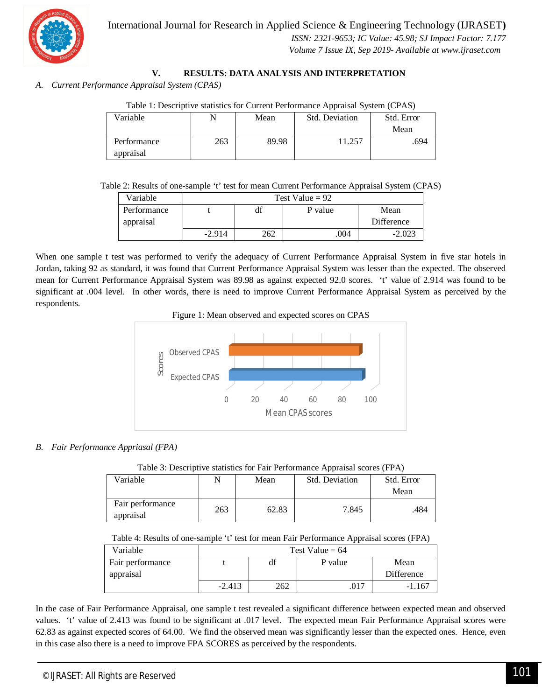

#### **V. RESULTS: DATA ANALYSIS AND INTERPRETATION**

*A. Current Performance Appraisal System (CPAS)*

| Table 1: Descriptive statistics for Current Performance Appraisal System (CPAS) |  |
|---------------------------------------------------------------------------------|--|
|                                                                                 |  |

| Variable    | N   | Mean  | Std. Deviation | Std. Error |
|-------------|-----|-------|----------------|------------|
|             |     |       |                | Mean       |
| Performance | 263 | 89.98 | 11.257         | .694       |
| appraisal   |     |       |                |            |

Table 2: Results of one-sample 't' test for mean Current Performance Appraisal System (CPAS)

| Variable    |          | Test Value = $92$     |      |            |  |  |  |  |  |
|-------------|----------|-----------------------|------|------------|--|--|--|--|--|
| Performance |          | df<br>P value<br>Mean |      |            |  |  |  |  |  |
| appraisal   |          |                       |      | Difference |  |  |  |  |  |
|             | $-2.914$ | 262                   | .004 | $-2.023$   |  |  |  |  |  |

When one sample t test was performed to verify the adequacy of Current Performance Appraisal System in five star hotels in Jordan, taking 92 as standard, it was found that Current Performance Appraisal System was lesser than the expected. The observed mean for Current Performance Appraisal System was 89.98 as against expected 92.0 scores. 't' value of 2.914 was found to be significant at .004 level. In other words, there is need to improve Current Performance Appraisal System as perceived by the respondents.





#### *B. Fair Performance Appriasal (FPA)*

|  | Table 3: Descriptive statistics for Fair Performance Appraisal scores (FPA) |
|--|-----------------------------------------------------------------------------|
|  |                                                                             |

| Variable                      |     | Mean  | Std. Deviation | Std. Error<br>Mean |
|-------------------------------|-----|-------|----------------|--------------------|
| Fair performance<br>appraisal | 263 | 62.83 | 7.845          | .484               |

Table 4: Results of one-sample 't' test for mean Fair Performance Appraisal scores (FPA)

|                  |                   |     | .       |            |  |  |  |
|------------------|-------------------|-----|---------|------------|--|--|--|
| Variable         | Test Value = $64$ |     |         |            |  |  |  |
| Fair performance |                   | df  | P value | Mean       |  |  |  |
| appraisal        |                   |     |         | Difference |  |  |  |
|                  | $-2.413$          | 262 | .017    | $-1.167$   |  |  |  |

In the case of Fair Performance Appraisal, one sample t test revealed a significant difference between expected mean and observed values. 't' value of 2.413 was found to be significant at .017 level. The expected mean Fair Performance Appraisal scores were 62.83 as against expected scores of 64.00. We find the observed mean was significantly lesser than the expected ones. Hence, even in this case also there is a need to improve FPA SCORES as perceived by the respondents.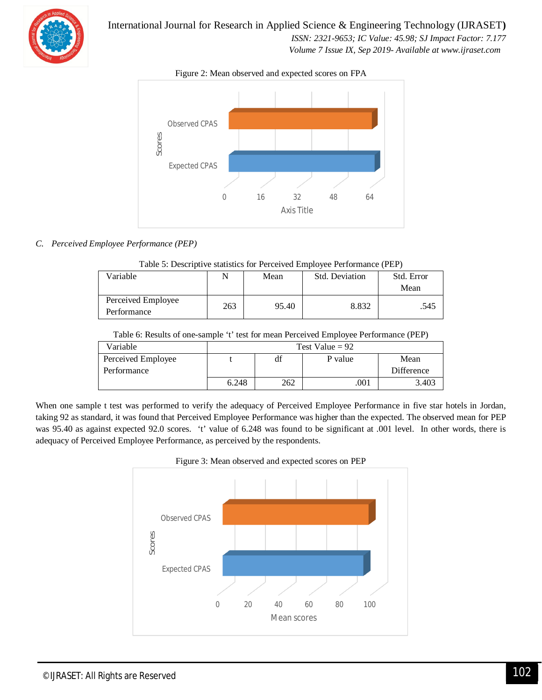

 *ISSN: 2321-9653; IC Value: 45.98; SJ Impact Factor: 7.177*

 *Volume 7 Issue IX, Sep 2019- Available at www.ijraset.com*

Figure 2: Mean observed and expected scores on FPA



#### *C. Perceived Employee Performance (PEP)*

| Variable                          |     | Mean  | <b>Std. Deviation</b> | Std. Error |  |  |  |  |  |
|-----------------------------------|-----|-------|-----------------------|------------|--|--|--|--|--|
|                                   |     |       |                       | Mean       |  |  |  |  |  |
| Perceived Employee<br>Performance | 263 | 95.40 | 8.832                 | .545       |  |  |  |  |  |

| Table 5: Descriptive statistics for Perceived Employee Performance (PEP) |  |
|--------------------------------------------------------------------------|--|
|                                                                          |  |

| Table 6: Results of one-sample 't' test for mean Perceived Employee Performance (PEP) |                   |     |         |            |  |  |  |
|---------------------------------------------------------------------------------------|-------------------|-----|---------|------------|--|--|--|
| Variable                                                                              | Test Value = $92$ |     |         |            |  |  |  |
| Perceived Employee                                                                    |                   | df  | P value | Mean       |  |  |  |
| Performance                                                                           |                   |     |         | Difference |  |  |  |
|                                                                                       | 6.248             | 262 | .001    | 3.403      |  |  |  |

When one sample t test was performed to verify the adequacy of Perceived Employee Performance in five star hotels in Jordan, taking 92 as standard, it was found that Perceived Employee Performance was higher than the expected. The observed mean for PEP was 95.40 as against expected 92.0 scores. 't' value of 6.248 was found to be significant at .001 level. In other words, there is adequacy of Perceived Employee Performance, as perceived by the respondents.



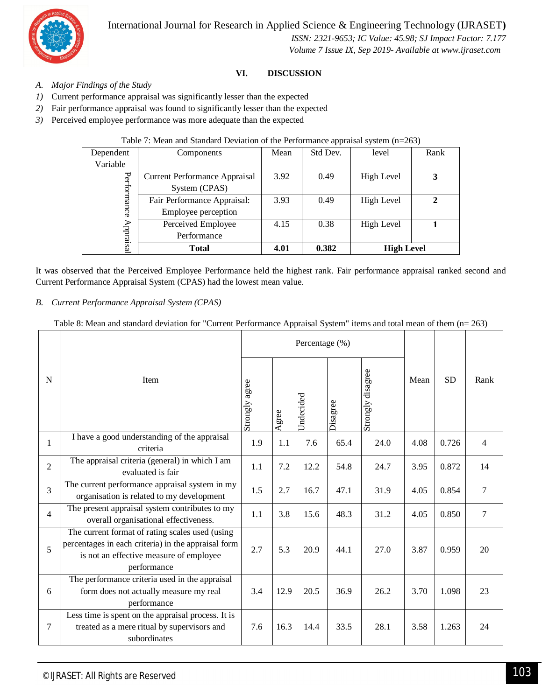

 *ISSN: 2321-9653; IC Value: 45.98; SJ Impact Factor: 7.177 Volume 7 Issue IX, Sep 2019- Available at www.ijraset.com*

#### **VI. DISCUSSION**

- *A. Major Findings of the Study*
- *1)* Current performance appraisal was significantly lesser than the expected
- *2)* Fair performance appraisal was found to significantly lesser than the expected
- *3)* Perceived employee performance was more adequate than the expected

#### Table 7: Mean and Standard Deviation of the Performance appraisal system (n=263)

| Dependent   | Components                                  | Mean | Std Dev. | level      | Rank |
|-------------|---------------------------------------------|------|----------|------------|------|
| Variable    |                                             |      |          |            |      |
|             | <b>Current Performance Appraisal</b>        | 3.92 | 0.49     | High Level | 3    |
| Performance | System (CPAS)                               |      |          |            |      |
|             | Fair Performance Appraisal:                 | 3.93 | 0.49     | High Level | 2    |
|             | Employee perception                         |      |          |            |      |
|             | Perceived Employee                          | 4.15 | 0.38     | High Level |      |
| Appraisal   | Performance                                 |      |          |            |      |
|             | 0.382<br><b>High Level</b><br>4.01<br>Total |      |          |            |      |

It was observed that the Perceived Employee Performance held the highest rank. Fair performance appraisal ranked second and Current Performance Appraisal System (CPAS) had the lowest mean value.

#### *B. Current Performance Appraisal System (CPAS)*

#### Table 8: Mean and standard deviation for "Current Performance Appraisal System" items and total mean of them (n= 263)

|                |                                                                                                                                                                  | Percentage (%) |      |                  |          |                   |      |           |                |
|----------------|------------------------------------------------------------------------------------------------------------------------------------------------------------------|----------------|------|------------------|----------|-------------------|------|-----------|----------------|
| N              | Item                                                                                                                                                             | Strongly agree | gree | <b>Jndecided</b> | Disagree | Strongly disagree | Mean | <b>SD</b> | Rank           |
| 1              | I have a good understanding of the appraisal<br>criteria                                                                                                         | 1.9            | 1.1  | 7.6              | 65.4     | 24.0              | 4.08 | 0.726     | $\overline{4}$ |
| $\overline{2}$ | The appraisal criteria (general) in which I am<br>evaluated is fair                                                                                              | 1.1            | 7.2  | 12.2             | 54.8     | 24.7              | 3.95 | 0.872     | 14             |
| 3              | The current performance appraisal system in my<br>organisation is related to my development                                                                      | 1.5            | 2.7  | 16.7             | 47.1     | 31.9              | 4.05 | 0.854     | $\overline{7}$ |
| $\overline{4}$ | The present appraisal system contributes to my<br>overall organisational effectiveness.                                                                          | 1.1            | 3.8  | 15.6             | 48.3     | 31.2              | 4.05 | 0.850     | $\tau$         |
| 5              | The current format of rating scales used (using<br>percentages in each criteria) in the appraisal form<br>is not an effective measure of employee<br>performance | 2.7            | 5.3  | 20.9             | 44.1     | 27.0              | 3.87 | 0.959     | 20             |
| 6              | The performance criteria used in the appraisal<br>form does not actually measure my real<br>performance                                                          | 3.4            | 12.9 | 20.5             | 36.9     | 26.2              | 3.70 | 1.098     | 23             |
| 7              | Less time is spent on the appraisal process. It is<br>treated as a mere ritual by supervisors and<br>subordinates                                                | 7.6            | 16.3 | 14.4             | 33.5     | 28.1              | 3.58 | 1.263     | 24             |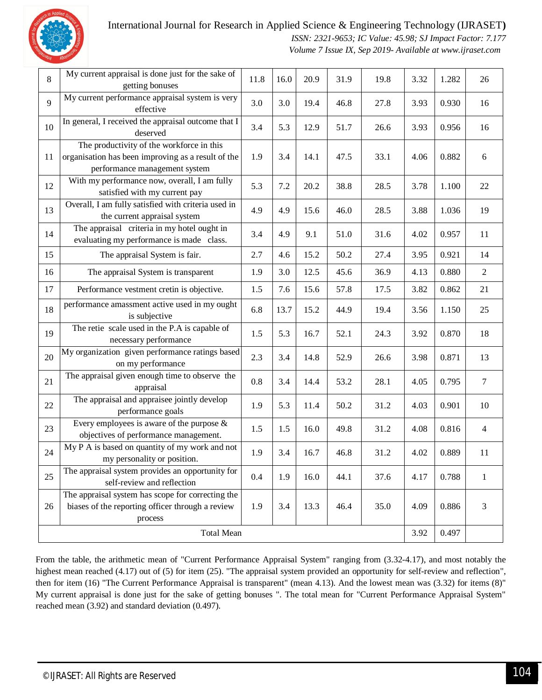

 *ISSN: 2321-9653; IC Value: 45.98; SJ Impact Factor: 7.177 Volume 7 Issue IX, Sep 2019- Available at www.ijraset.com*

| 8  | My current appraisal is done just for the sake of<br>getting bonuses                                                             | 11.8 | 16.0 | 20.9 | 31.9 | 19.8 | 3.32 | 1.282 | 26             |
|----|----------------------------------------------------------------------------------------------------------------------------------|------|------|------|------|------|------|-------|----------------|
| 9  | My current performance appraisal system is very<br>effective                                                                     | 3.0  | 3.0  | 19.4 | 46.8 | 27.8 | 3.93 | 0.930 | 16             |
| 10 | In general, I received the appraisal outcome that I<br>deserved                                                                  | 3.4  | 5.3  | 12.9 | 51.7 | 26.6 | 3.93 | 0.956 | 16             |
| 11 | The productivity of the workforce in this<br>organisation has been improving as a result of the<br>performance management system | 1.9  | 3.4  | 14.1 | 47.5 | 33.1 | 4.06 | 0.882 | 6              |
| 12 | With my performance now, overall, I am fully<br>satisfied with my current pay                                                    | 5.3  | 7.2  | 20.2 | 38.8 | 28.5 | 3.78 | 1.100 | 22             |
| 13 | Overall, I am fully satisfied with criteria used in<br>the current appraisal system                                              | 4.9  | 4.9  | 15.6 | 46.0 | 28.5 | 3.88 | 1.036 | 19             |
| 14 | The appraisal criteria in my hotel ought in<br>evaluating my performance is made class.                                          | 3.4  | 4.9  | 9.1  | 51.0 | 31.6 | 4.02 | 0.957 | 11             |
| 15 | The appraisal System is fair.                                                                                                    | 2.7  | 4.6  | 15.2 | 50.2 | 27.4 | 3.95 | 0.921 | 14             |
| 16 | The appraisal System is transparent                                                                                              | 1.9  | 3.0  | 12.5 | 45.6 | 36.9 | 4.13 | 0.880 | $\overline{2}$ |
| 17 | Performance vestment cretin is objective.                                                                                        | 1.5  | 7.6  | 15.6 | 57.8 | 17.5 | 3.82 | 0.862 | 21             |
| 18 | performance amassment active used in my ought<br>is subjective                                                                   | 6.8  | 13.7 | 15.2 | 44.9 | 19.4 | 3.56 | 1.150 | 25             |
| 19 | The retie scale used in the P.A is capable of<br>necessary performance                                                           | 1.5  | 5.3  | 16.7 | 52.1 | 24.3 | 3.92 | 0.870 | 18             |
| 20 | My organization given performance ratings based<br>on my performance                                                             | 2.3  | 3.4  | 14.8 | 52.9 | 26.6 | 3.98 | 0.871 | 13             |
| 21 | The appraisal given enough time to observe the<br>appraisal                                                                      | 0.8  | 3.4  | 14.4 | 53.2 | 28.1 | 4.05 | 0.795 | $\tau$         |
| 22 | The appraisal and appraisee jointly develop<br>performance goals                                                                 | 1.9  | 5.3  | 11.4 | 50.2 | 31.2 | 4.03 | 0.901 | 10             |
| 23 | Every employees is aware of the purpose $\&$<br>objectives of performance management.                                            | 1.5  | 1.5  | 16.0 | 49.8 | 31.2 | 4.08 | 0.816 | $\overline{4}$ |
| 24 | My P A is based on quantity of my work and not<br>my personality or position.                                                    | 1.9  | 3.4  | 16.7 | 46.8 | 31.2 | 4.02 | 0.889 | $11\,$         |
| 25 | The appraisal system provides an opportunity for<br>self-review and reflection                                                   | 0.4  | 1.9  | 16.0 | 44.1 | 37.6 | 4.17 | 0.788 | 1              |
| 26 | The appraisal system has scope for correcting the<br>biases of the reporting officer through a review<br>process                 | 1.9  | 3.4  | 13.3 | 46.4 | 35.0 | 4.09 | 0.886 | 3              |
|    | <b>Total Mean</b>                                                                                                                |      |      |      |      |      |      |       |                |

From the table, the arithmetic mean of "Current Performance Appraisal System" ranging from (3.32-4.17), and most notably the highest mean reached (4.17) out of (5) for item (25). "The appraisal system provided an opportunity for self-review and reflection", then for item (16) "The Current Performance Appraisal is transparent" (mean 4.13). And the lowest mean was (3.32) for items (8)" My current appraisal is done just for the sake of getting bonuses ". The total mean for "Current Performance Appraisal System" reached mean (3.92) and standard deviation (0.497).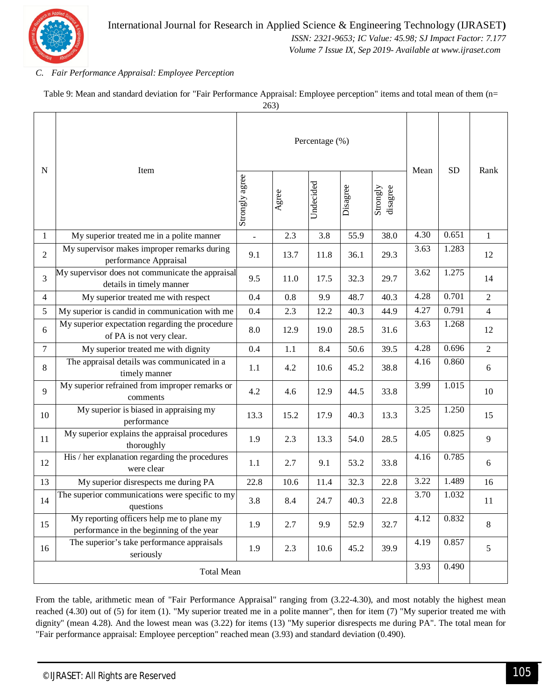

 *ISSN: 2321-9653; IC Value: 45.98; SJ Impact Factor: 7.177*

 *Volume 7 Issue IX, Sep 2019- Available at www.ijraset.com*

#### *C. Fair Performance Appraisal: Employee Perception*

Table 9: Mean and standard deviation for "Fair Performance Appraisal: Employee perception" items and total mean of them (n=

263)

| N                 | Item                                                                                  |                |       | Percentage (%) | Mean     | <b>SD</b>            | Rank |       |                |
|-------------------|---------------------------------------------------------------------------------------|----------------|-------|----------------|----------|----------------------|------|-------|----------------|
|                   |                                                                                       | Strongly agree | Agree | Undecided      | Disagree | Strongly<br>disagree |      |       |                |
| $\mathbf{1}$      | My superior treated me in a polite manner                                             | ÷,             | 2.3   | 3.8            | 55.9     | 38.0                 | 4.30 | 0.651 | $\mathbf{1}$   |
| $\overline{2}$    | My supervisor makes improper remarks during<br>performance Appraisal                  | 9.1            | 13.7  | 11.8           | 36.1     | 29.3                 | 3.63 | 1.283 | 12             |
| 3                 | My supervisor does not communicate the appraisal<br>details in timely manner          | 9.5            | 11.0  | 17.5           | 32.3     | 29.7                 | 3.62 | 1.275 | 14             |
| $\overline{4}$    | My superior treated me with respect                                                   | 0.4            | 0.8   | 9.9            | 48.7     | 40.3                 | 4.28 | 0.701 | $\overline{2}$ |
| 5                 | My superior is candid in communication with me                                        | 0.4            | 2.3   | 12.2           | 40.3     | 44.9                 | 4.27 | 0.791 | $\overline{4}$ |
| 6                 | My superior expectation regarding the procedure<br>of PA is not very clear.           | 8.0            | 12.9  | 19.0           | 28.5     | 31.6                 | 3.63 | 1.268 | 12             |
| $\tau$            | My superior treated me with dignity                                                   | 0.4            | 1.1   | 8.4            | 50.6     | 39.5                 | 4.28 | 0.696 | $\overline{2}$ |
| 8                 | The appraisal details was communicated in a<br>timely manner                          | 1.1            | 4.2   | 10.6           | 45.2     | 38.8                 | 4.16 | 0.860 | 6              |
| 9                 | My superior refrained from improper remarks or<br>comments                            | 4.2            | 4.6   | 12.9           | 44.5     | 33.8                 | 3.99 | 1.015 | 10             |
| 10                | My superior is biased in appraising my<br>performance                                 | 13.3           | 15.2  | 17.9           | 40.3     | 13.3                 | 3.25 | 1.250 | 15             |
| 11                | My superior explains the appraisal procedures<br>thoroughly                           | 1.9            | 2.3   | 13.3           | 54.0     | 28.5                 | 4.05 | 0.825 | 9              |
| 12                | His / her explanation regarding the procedures<br>were clear                          | 1.1            | 2.7   | 9.1            | 53.2     | 33.8                 | 4.16 | 0.785 | 6              |
| 13                | My superior disrespects me during PA                                                  | 22.8           | 10.6  | 11.4           | 32.3     | 22.8                 | 3.22 | 1.489 | 16             |
| 14                | The superior communications were specific to my<br>questions                          | 3.8            | 8.4   | 24.7           | 40.3     | 22.8                 | 3.70 | 1.032 | 11             |
| 15                | My reporting officers help me to plane my<br>performance in the beginning of the year | 1.9            | 2.7   | 9.9            | 52.9     | 32.7                 | 4.12 | 0.832 | $8\,$          |
| 16                | The superior's take performance appraisals<br>seriously                               | 1.9            | 2.3   | 10.6           | 45.2     | 39.9                 | 4.19 | 0.857 | 5              |
| <b>Total Mean</b> |                                                                                       |                |       |                |          |                      |      | 0.490 |                |

From the table, arithmetic mean of "Fair Performance Appraisal" ranging from (3.22-4.30), and most notably the highest mean reached (4.30) out of (5) for item (1). "My superior treated me in a polite manner", then for item (7) "My superior treated me with dignity" (mean 4.28). And the lowest mean was (3.22) for items (13) "My superior disrespects me during PA". The total mean for "Fair performance appraisal: Employee perception" reached mean (3.93) and standard deviation (0.490).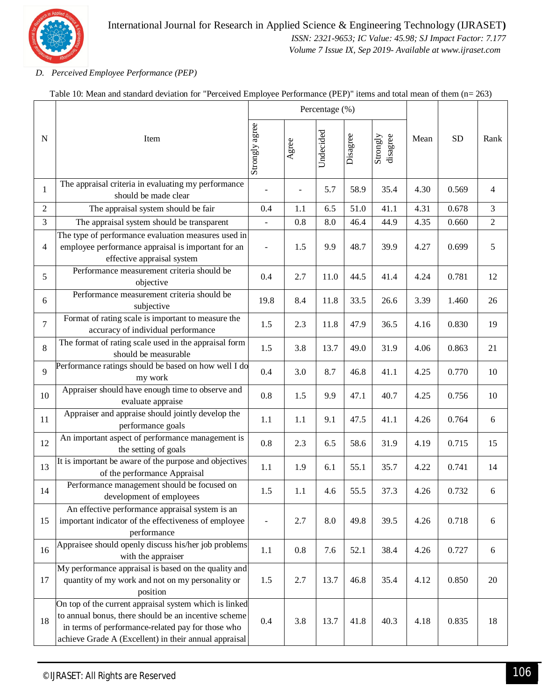

 *ISSN: 2321-9653; IC Value: 45.98; SJ Impact Factor: 7.177 Volume 7 Issue IX, Sep 2019- Available at www.ijraset.com*

#### *D. Perceived Employee Performance (PEP)*

|                | Item                                                                                                                                                                                                                         |                |       | Percentage (%) |          |                      |      |           |                |
|----------------|------------------------------------------------------------------------------------------------------------------------------------------------------------------------------------------------------------------------------|----------------|-------|----------------|----------|----------------------|------|-----------|----------------|
| $\mathbf N$    |                                                                                                                                                                                                                              | Strongly agree | Agree | Undecided      | Disagree | Strongly<br>disagree | Mean | <b>SD</b> | Rank           |
| 1              | The appraisal criteria in evaluating my performance<br>should be made clear                                                                                                                                                  |                |       | 5.7            | 58.9     | 35.4                 | 4.30 | 0.569     | 4              |
| $\overline{2}$ | The appraisal system should be fair                                                                                                                                                                                          | 0.4            | 1.1   | 6.5            | 51.0     | 41.1                 | 4.31 | 0.678     | 3              |
| $\overline{3}$ | The appraisal system should be transparent                                                                                                                                                                                   | ÷,             | 0.8   | 8.0            | 46.4     | 44.9                 | 4.35 | 0.660     | $\overline{2}$ |
| $\overline{4}$ | The type of performance evaluation measures used in<br>employee performance appraisal is important for an<br>effective appraisal system                                                                                      | ÷,             | 1.5   | 9.9            | 48.7     | 39.9                 | 4.27 | 0.699     | 5              |
| 5              | Performance measurement criteria should be<br>objective                                                                                                                                                                      | 0.4            | 2.7   | 11.0           | 44.5     | 41.4                 | 4.24 | 0.781     | 12             |
| 6              | Performance measurement criteria should be<br>subjective                                                                                                                                                                     | 19.8           | 8.4   | 11.8           | 33.5     | 26.6                 | 3.39 | 1.460     | 26             |
| $\overline{7}$ | Format of rating scale is important to measure the<br>accuracy of individual performance                                                                                                                                     | 1.5            | 2.3   | 11.8           | 47.9     | 36.5                 | 4.16 | 0.830     | 19             |
| 8              | The format of rating scale used in the appraisal form<br>should be measurable                                                                                                                                                | 1.5            | 3.8   | 13.7           | 49.0     | 31.9                 | 4.06 | 0.863     | 21             |
| 9              | Performance ratings should be based on how well I do<br>my work                                                                                                                                                              | 0.4            | 3.0   | 8.7            | 46.8     | 41.1                 | 4.25 | 0.770     | 10             |
| 10             | Appraiser should have enough time to observe and<br>evaluate appraise                                                                                                                                                        | 0.8            | 1.5   | 9.9            | 47.1     | 40.7                 | 4.25 | 0.756     | 10             |
| 11             | Appraiser and appraise should jointly develop the<br>performance goals                                                                                                                                                       | 1.1            | 1.1   | 9.1            | 47.5     | 41.1                 | 4.26 | 0.764     | 6              |
| 12             | An important aspect of performance management is<br>the setting of goals                                                                                                                                                     | 0.8            | 2.3   | 6.5            | 58.6     | 31.9                 | 4.19 | 0.715     | 15             |
| 13             | It is important be aware of the purpose and objectives<br>of the performance Appraisal                                                                                                                                       | 1.1            | 1.9   | 6.1            | 55.1     | 35.7                 | 4.22 | 0.741     | 14             |
| 14             | Performance management should be focused on<br>development of employees                                                                                                                                                      | 1.5            | 1.1   | 4.6            | 55.5     | 37.3                 | 4.26 | 0.732     | 6              |
| 15             | An effective performance appraisal system is an<br>important indicator of the effectiveness of employee<br>performance                                                                                                       | ÷,             | 2.7   | 8.0            | 49.8     | 39.5                 | 4.26 | 0.718     | 6              |
| 16             | Appraisee should openly discuss his/her job problems<br>with the appraiser                                                                                                                                                   | 1.1            | 0.8   | 7.6            | 52.1     | 38.4                 | 4.26 | 0.727     | 6              |
| 17             | My performance appraisal is based on the quality and<br>quantity of my work and not on my personality or<br>position                                                                                                         | 1.5            | 2.7   | 13.7           | 46.8     | 35.4                 | 4.12 | 0.850     | 20             |
| 18             | On top of the current appraisal system which is linked<br>to annual bonus, there should be an incentive scheme<br>in terms of performance-related pay for those who<br>achieve Grade A (Excellent) in their annual appraisal | 0.4            | 3.8   | 13.7           | 41.8     | 40.3                 | 4.18 | 0.835     | 18             |

Table 10: Mean and standard deviation for "Perceived Employee Performance (PEP)" items and total mean of them (n= 263)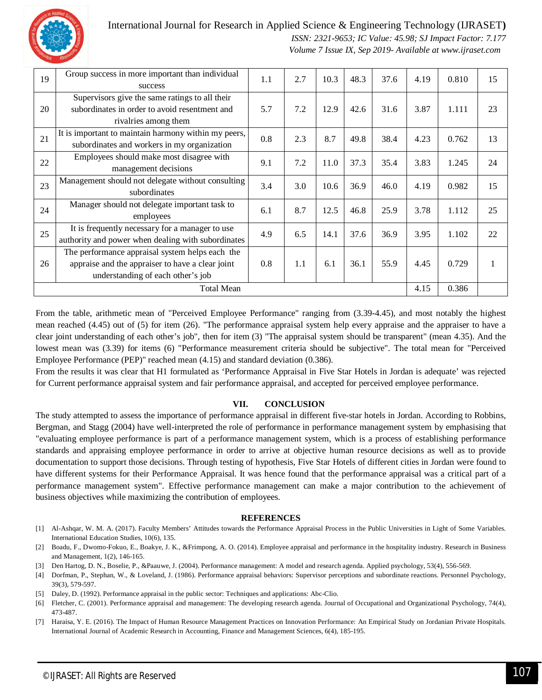

 *ISSN: 2321-9653; IC Value: 45.98; SJ Impact Factor: 7.177 Volume 7 Issue IX, Sep 2019- Available at www.ijraset.com*

| 19                | Group success in more important than individual<br>success                                                                               | 1.1 | 2.7 | 10.3 | 48.3 | 37.6 | 4.19  | 0.810 | 15 |
|-------------------|------------------------------------------------------------------------------------------------------------------------------------------|-----|-----|------|------|------|-------|-------|----|
| 20                | Supervisors give the same ratings to all their<br>subordinates in order to avoid resentment and<br>rivalries among them                  | 5.7 | 7.2 | 12.9 | 42.6 | 31.6 | 3.87  | 1.111 | 23 |
| 21                | It is important to maintain harmony within my peers,<br>subordinates and workers in my organization                                      | 0.8 | 2.3 | 8.7  | 49.8 | 38.4 | 4.23  | 0.762 | 13 |
| 22                | Employees should make most disagree with<br>management decisions                                                                         | 9.1 | 7.2 | 11.0 | 37.3 | 35.4 | 3.83  | 1.245 | 24 |
| 23                | Management should not delegate without consulting<br>subordinates                                                                        | 3.4 | 3.0 | 10.6 | 36.9 | 46.0 | 4.19  | 0.982 | 15 |
| 24                | Manager should not delegate important task to<br>employees                                                                               | 6.1 | 8.7 | 12.5 | 46.8 | 25.9 | 3.78  | 1.112 | 25 |
| 25                | It is frequently necessary for a manager to use<br>authority and power when dealing with subordinates                                    | 4.9 | 6.5 | 14.1 | 37.6 | 36.9 | 3.95  | 1.102 | 22 |
| 26                | The performance appraisal system helps each the<br>appraise and the appraiser to have a clear joint<br>understanding of each other's job | 0.8 | 1.1 | 6.1  | 36.1 | 55.9 | 4.45  | 0.729 | 1  |
| <b>Total Mean</b> |                                                                                                                                          |     |     |      |      | 4.15 | 0.386 |       |    |

From the table, arithmetic mean of "Perceived Employee Performance" ranging from (3.39-4.45), and most notably the highest mean reached (4.45) out of (5) for item (26). "The performance appraisal system help every appraise and the appraiser to have a clear joint understanding of each other's job", then for item (3) "The appraisal system should be transparent" (mean 4.35). And the lowest mean was (3.39) for items (6) "Performance measurement criteria should be subjective". The total mean for "Perceived Employee Performance (PEP)" reached mean (4.15) and standard deviation (0.386).

From the results it was clear that H1 formulated as 'Performance Appraisal in Five Star Hotels in Jordan is adequate' was rejected for Current performance appraisal system and fair performance appraisal, and accepted for perceived employee performance.

#### **VII. CONCLUSION**

The study attempted to assess the importance of performance appraisal in different five-star hotels in Jordan. According to Robbins, Bergman, and Stagg (2004) have well-interpreted the role of performance in performance management system by emphasising that "evaluating employee performance is part of a performance management system, which is a process of establishing performance standards and appraising employee performance in order to arrive at objective human resource decisions as well as to provide documentation to support those decisions. Through testing of hypothesis, Five Star Hotels of different cities in Jordan were found to have different systems for their Performance Appraisal. It was hence found that the performance appraisal was a critical part of a performance management system". Effective performance management can make a major contribution to the achievement of business objectives while maximizing the contribution of employees.

#### **REFERENCES**

- [1] Al-Ashqar, W. M. A. (2017). Faculty Members' Attitudes towards the Performance Appraisal Process in the Public Universities in Light of Some Variables. International Education Studies, 10(6), 135.
- [2] Boadu, F., Dwomo-Fokuo, E., Boakye, J. K., &Frimpong, A. O. (2014). Employee appraisal and performance in the hospitality industry. Research in Business and Management, 1(2), 146-165.
- [3] Den Hartog, D. N., Boselie, P., &Paauwe, J. (2004). Performance management: A model and research agenda. Applied psychology, 53(4), 556-569.
- [4] Dorfman, P., Stephan, W., & Loveland, J. (1986). Performance appraisal behaviors: Supervisor perceptions and subordinate reactions. Personnel Psychology, 39(3), 579-597.
- [5] Daley, D. (1992). Performance appraisal in the public sector: Techniques and applications: Abc-Clio.
- [6] Fletcher, C. (2001). Performance appraisal and management: The developing research agenda. Journal of Occupational and Organizational Psychology, 74(4), 473-487.
- [7] Haraisa, Y. E. (2016). The Impact of Human Resource Management Practices on Innovation Performance: An Empirical Study on Jordanian Private Hospitals. International Journal of Academic Research in Accounting, Finance and Management Sciences, 6(4), 185-195.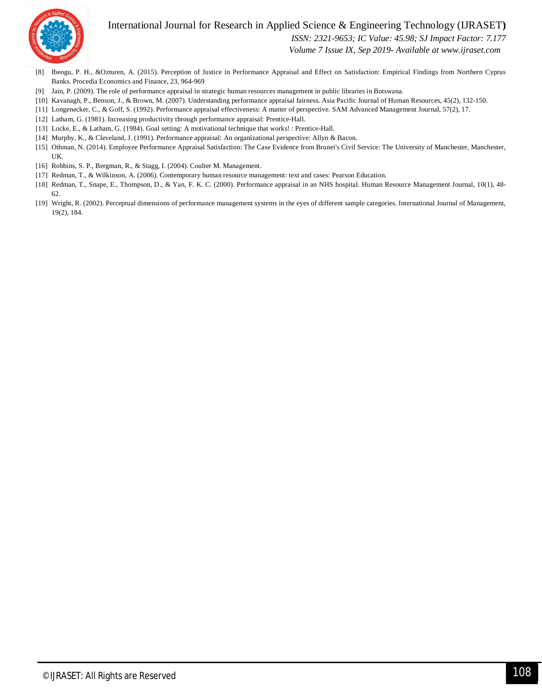



 *ISSN: 2321-9653; IC Value: 45.98; SJ Impact Factor: 7.177*

 *Volume 7 Issue IX, Sep 2019- Available at www.ijraset.com*

- [8] Ibeogu, P. H., &Ozturen, A. (2015). Perception of Justice in Performance Appraisal and Effect on Satisfaction: Empirical Findings from Northern Cyprus Banks. Procedia Economics and Finance, 23, 964-969
- [9] Jain, P. (2009). The role of performance appraisal in strategic human resources management in public libraries in Botswana.
- [10] Kavanagh, P., Benson, J., & Brown, M. (2007). Understanding performance appraisal fairness. Asia Pacific Journal of Human Resources, 45(2), 132-150.
- [11] Longenecker, C., & Goff, S. (1992). Performance appraisal effectiveness: A matter of perspective. SAM Advanced Management Journal, 57(2), 17.
- [12] Latham, G. (1981). Increasing productivity through performance appraisal: Prentice-Hall.
- [13] Locke, E., & Latham, G. (1984). Goal setting: A motivational technique that works! : Prentice-Hall.
- [14] Murphy, K., & Cleveland, J. (1991). Performance appraisal: An organizational perspective: Allyn & Bacon.
- [15] Othman, N. (2014). Employee Performance Appraisal Satisfaction: The Case Evidence from Brunei's Civil Service: The University of Manchester, Manchester, UK.
- [16] Robbins, S. P., Bergman, R., & Stagg, I. (2004). Coulter M. Management.
- [17] Redman, T., & Wilkinson, A. (2006). Contemporary human resource management: text and cases: Pearson Education.
- [18] Redman, T., Snape, E., Thompson, D., & Yan, F. K. C. (2000). Performance appraisal in an NHS hospital. Human Resource Management Journal, 10(1), 48- 62.
- [19] Wright, R. (2002). Perceptual dimensions of performance management systems in the eyes of different sample categories. International Journal of Management, 19(2), 184.